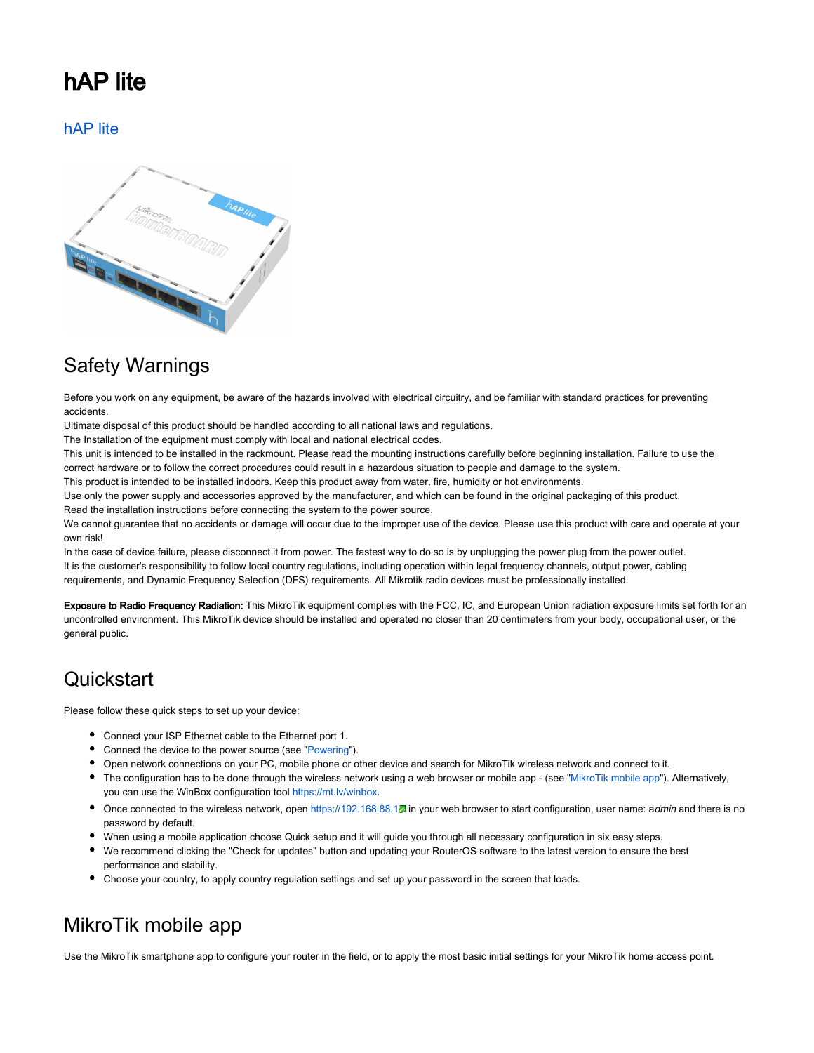## hAP lite

[hAP lite](https://mikrotik.com/product/RB941-2nD)



## Safety Warnings

Before you work on any equipment, be aware of the hazards involved with electrical circuitry, and be familiar with standard practices for preventing accidents.

Ultimate disposal of this product should be handled according to all national laws and regulations.

The Installation of the equipment must comply with local and national electrical codes.

This unit is intended to be installed in the rackmount. Please read the mounting instructions carefully before beginning installation. Failure to use the correct hardware or to follow the correct procedures could result in a hazardous situation to people and damage to the system.

This product is intended to be installed indoors. Keep this product away from water, fire, humidity or hot environments.

Use only the power supply and accessories approved by the manufacturer, and which can be found in the original packaging of this product. Read the installation instructions before connecting the system to the power source.

We cannot guarantee that no accidents or damage will occur due to the improper use of the device. Please use this product with care and operate at your own risk!

In the case of device failure, please disconnect it from power. The fastest way to do so is by unplugging the power plug from the power outlet. It is the customer's responsibility to follow local country regulations, including operation within legal frequency channels, output power, cabling requirements, and Dynamic Frequency Selection (DFS) requirements. All Mikrotik radio devices must be professionally installed.

Exposure to Radio Frequency Radiation: This MikroTik equipment complies with the FCC, IC, and European Union radiation exposure limits set forth for an uncontrolled environment. This MikroTik device should be installed and operated no closer than 20 centimeters from your body, occupational user, or the general public.

## **Quickstart**

Please follow these quick steps to set up your device:

- Connect your ISP Ethernet cable to the Ethernet port 1.
- Connect the device to the power source (see ["Powering"](#page-1-0)).
- Open network connections on your PC, mobile phone or other device and search for MikroTik wireless network and connect to it.
- The configuration has to be done through the wireless network using a web browser or mobile app (see ["MikroTik mobile app](#page-0-0)"). Alternatively, you can use the WinBox configuration tool [https://mt.lv/winbox.](https://mt.lv/winbox)
- Once connected to the wireless network, open <https://192.168.88.1>. in your web browser to start configuration, user name: admin and there is no password by default.
- When using a mobile application choose Quick setup and it will guide you through all necessary configuration in six easy steps.
- We recommend clicking the "Check for updates" button and updating your RouterOS software to the latest version to ensure the best performance and stability.
- Choose your country, to apply country regulation settings and set up your password in the screen that loads.

## <span id="page-0-0"></span>MikroTik mobile app

Use the MikroTik smartphone app to configure your router in the field, or to apply the most basic initial settings for your MikroTik home access point.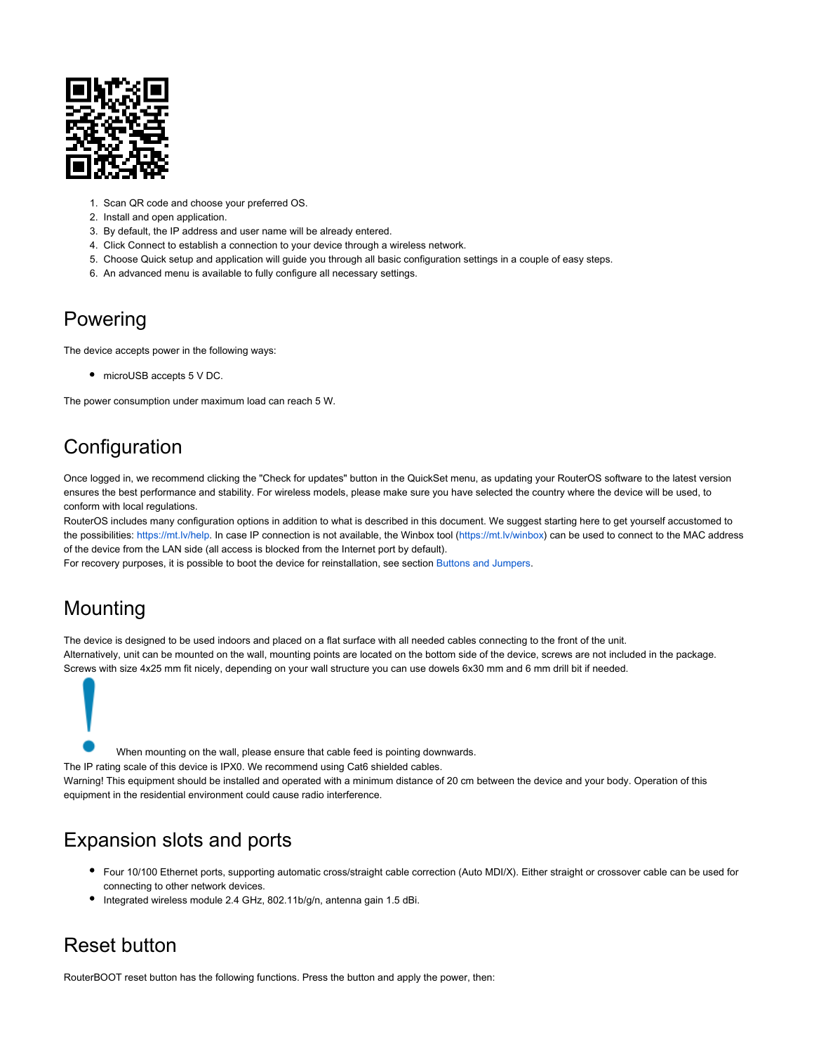

- 1. Scan QR code and choose your preferred OS.
- 2. Install and open application.
- 3. By default, the IP address and user name will be already entered.
- 4. Click Connect to establish a connection to your device through a wireless network.
- 5. Choose Quick setup and application will guide you through all basic configuration settings in a couple of easy steps.
- 6. An advanced menu is available to fully configure all necessary settings.

## <span id="page-1-0"></span>Powering

The device accepts power in the following ways:

microUSB accepts 5 V DC.

The power consumption under maximum load can reach 5 W.

## **Configuration**

Once logged in, we recommend clicking the "Check for updates" button in the QuickSet menu, as updating your RouterOS software to the latest version ensures the best performance and stability. For wireless models, please make sure you have selected the country where the device will be used, to conform with local regulations.

RouterOS includes many configuration options in addition to what is described in this document. We suggest starting here to get yourself accustomed to the possibilities: [https://mt.lv/help.](https://mt.lv/help) In case IP connection is not available, the Winbox tool [\(https://mt.lv/winbox](https://mt.lv/winbox)) can be used to connect to the MAC address of the device from the LAN side (all access is blocked from the Internet port by default).

For recovery purposes, it is possible to boot the device for reinstallation, see section Buttons and Jumpers.

## Mounting

The device is designed to be used indoors and placed on a flat surface with all needed cables connecting to the front of the unit. Alternatively, unit can be mounted on the wall, mounting points are located on the bottom side of the device, screws are not included in the package. Screws with size 4x25 mm fit nicely, depending on your wall structure you can use dowels 6x30 mm and 6 mm drill bit if needed.



When mounting on the wall, please ensure that cable feed is pointing downwards.

The IP rating scale of this device is IPX0. We recommend using Cat6 shielded cables.

Warning! This equipment should be installed and operated with a minimum distance of 20 cm between the device and your body. Operation of this equipment in the residential environment could cause radio interference.

## Expansion slots and ports

- Four 10/100 Ethernet ports, supporting automatic cross/straight cable correction (Auto MDI/X). Either straight or crossover cable can be used for connecting to other network devices.
- Integrated wireless module 2.4 GHz, 802.11b/g/n, antenna gain 1.5 dBi.

## Reset button

RouterBOOT reset button has the following functions. Press the button and apply the power, then: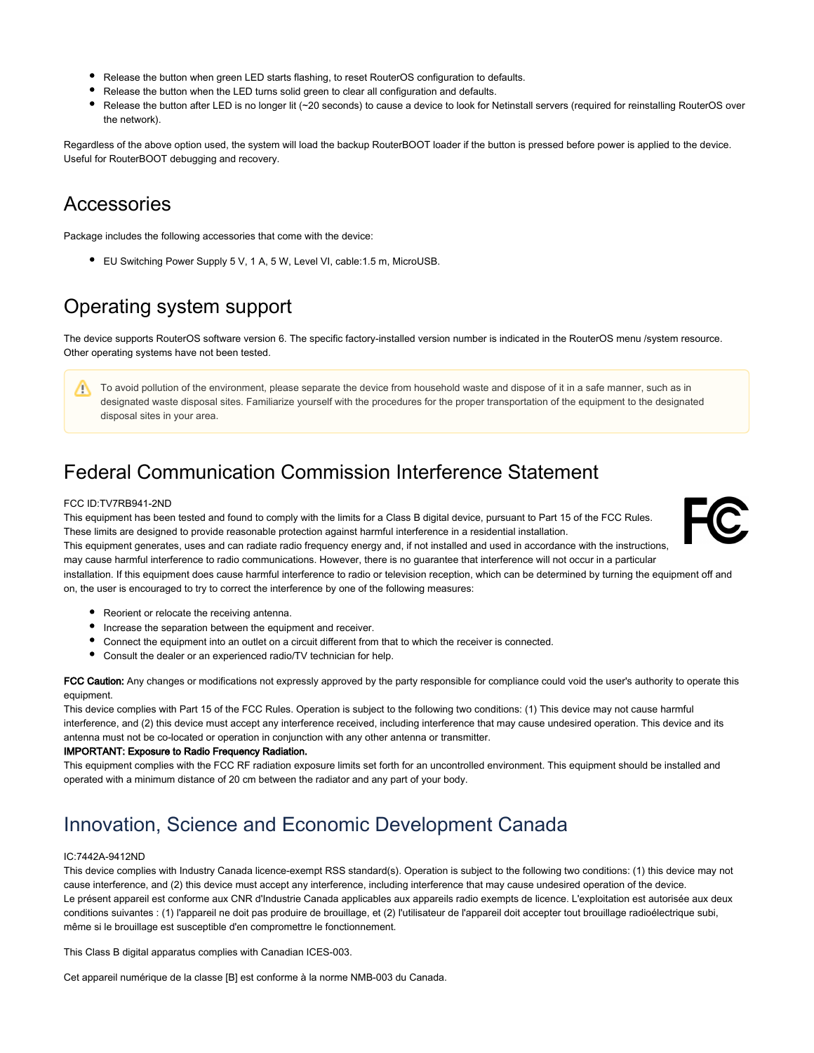- Release the button when green LED starts flashing, to reset RouterOS configuration to defaults.
- Release the button when the LED turns solid green to clear all configuration and defaults.
- Release the button after LED is no longer lit (~20 seconds) to cause a device to look for Netinstall servers (required for reinstalling RouterOS over the network).

Regardless of the above option used, the system will load the backup RouterBOOT loader if the button is pressed before power is applied to the device. Useful for RouterBOOT debugging and recovery.

## Accessories

Package includes the following accessories that come with the device:

● EU Switching Power Supply 5 V, 1 A, 5 W, Level VI, cable:1.5 m, MicroUSB.

## Operating system support

The device supports RouterOS software version 6. The specific factory-installed version number is indicated in the RouterOS menu /system resource. Other operating systems have not been tested.

To avoid pollution of the environment, please separate the device from household waste and dispose of it in a safe manner, such as in Δ designated waste disposal sites. Familiarize yourself with the procedures for the proper transportation of the equipment to the designated disposal sites in your area.

## Federal Communication Commission Interference Statement

#### FCC ID:TV7RB941-2ND

This equipment has been tested and found to comply with the limits for a Class B digital device, pursuant to Part 15 of the FCC Rules. These limits are designed to provide reasonable protection against harmful interference in a residential installation.



This equipment generates, uses and can radiate radio frequency energy and, if not installed and used in accordance with the instructions, may cause harmful interference to radio communications. However, there is no guarantee that interference will not occur in a particular

installation. If this equipment does cause harmful interference to radio or television reception, which can be determined by turning the equipment off and on, the user is encouraged to try to correct the interference by one of the following measures:

- Reorient or relocate the receiving antenna.
- Increase the separation between the equipment and receiver.
- Connect the equipment into an outlet on a circuit different from that to which the receiver is connected.
- Consult the dealer or an experienced radio/TV technician for help.

FCC Caution: Any changes or modifications not expressly approved by the party responsible for compliance could void the user's authority to operate this equipment.

This device complies with Part 15 of the FCC Rules. Operation is subject to the following two conditions: (1) This device may not cause harmful interference, and (2) this device must accept any interference received, including interference that may cause undesired operation. This device and its antenna must not be co-located or operation in conjunction with any other antenna or transmitter.

#### IMPORTANT: Exposure to Radio Frequency Radiation.

This equipment complies with the FCC RF radiation exposure limits set forth for an uncontrolled environment. This equipment should be installed and operated with a minimum distance of 20 cm between the radiator and any part of your body.

## Innovation, Science and Economic Development Canada

#### IC:7442A-9412ND

This device complies with Industry Canada licence-exempt RSS standard(s). Operation is subject to the following two conditions: (1) this device may not cause interference, and (2) this device must accept any interference, including interference that may cause undesired operation of the device. Le présent appareil est conforme aux CNR d'Industrie Canada applicables aux appareils radio exempts de licence. L'exploitation est autorisée aux deux conditions suivantes : (1) l'appareil ne doit pas produire de brouillage, et (2) l'utilisateur de l'appareil doit accepter tout brouillage radioélectrique subi, même si le brouillage est susceptible d'en compromettre le fonctionnement.

This Class B digital apparatus complies with Canadian ICES-003.

Cet appareil numérique de la classe [B] est conforme à la norme NMB-003 du Canada.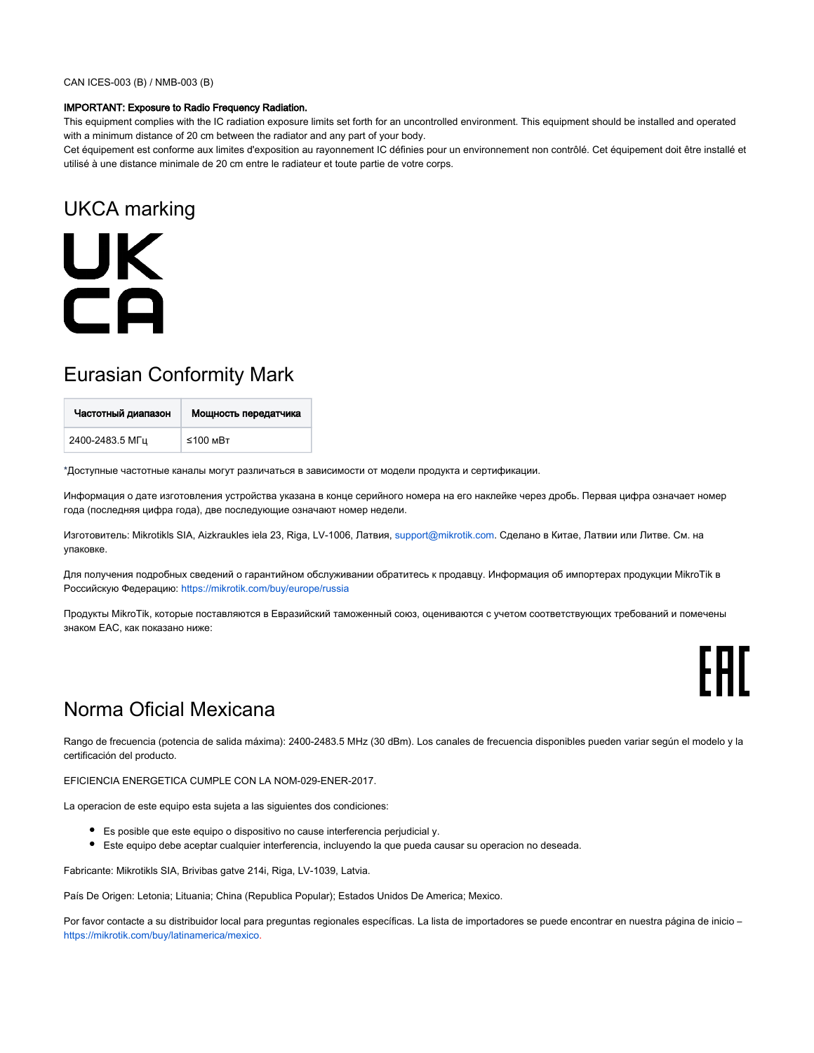#### IMPORTANT: Exposure to Radio Frequency Radiation.

This equipment complies with the IC radiation exposure limits set forth for an uncontrolled environment. This equipment should be installed and operated with a minimum distance of 20 cm between the radiator and any part of your body.

Cet équipement est conforme aux limites d'exposition au rayonnement IC définies pour un environnement non contrôlé. Cet équipement doit être installé et utilisé à une distance minimale de 20 cm entre le radiateur et toute partie de votre corps.

## UKCA marking

# **UK** CA

## Eurasian Conformity Mark

| Частотный диапазон | Мощность передатчика |
|--------------------|----------------------|
| 2400-2483.5 МГц    | $≤100$ MBT           |

\*Доступные частотные каналы могут различаться в зависимости от модели продукта и сертификации.

Информация о дате изготовления устройства указана в конце серийного номера на его наклейке через дробь. Первая цифра означает номер года (последняя цифра года), две последующие означают номер недели.

Изготовитель: Mikrotikls SIA, Aizkraukles iela 23, Riga, LV-1006, Латвия, [support@mikrotik.com.](mailto:support@mikrotik.com) Сделано в Китае, Латвии или Литве. Cм. на упаковке.

Для получения подробных сведений о гарантийном обслуживании обратитесь к продавцу. Информация об импортерах продукции MikroTik в Российскую Федерацию: <https://mikrotik.com/buy/europe/russia>

Продукты MikroTik, которые поставляются в Евразийский таможенный союз, оцениваются с учетом соответствующих требований и помечены знаком EAC, как показано ниже:



## Norma Oficial Mexicana

Rango de frecuencia (potencia de salida máxima): 2400-2483.5 MHz (30 dBm). Los canales de frecuencia disponibles pueden variar según el modelo y la certificación del producto.

EFICIENCIA ENERGETICA CUMPLE CON LA NOM-029-ENER-2017.

La operacion de este equipo esta sujeta a las siguientes dos condiciones:

- Es posible que este equipo o dispositivo no cause interferencia perjudicial y.
- Este equipo debe aceptar cualquier interferencia, incluyendo la que pueda causar su operacion no deseada.

Fabricante: Mikrotikls SIA, Brivibas gatve 214i, Riga, LV-1039, Latvia.

País De Origen: Letonia; Lituania; China (Republica Popular); Estados Unidos De America; Mexico.

Por favor contacte a su distribuidor local para preguntas regionales específicas. La lista de importadores se puede encontrar en nuestra página de inicio – <https://mikrotik.com/buy/latinamerica/mexico>.